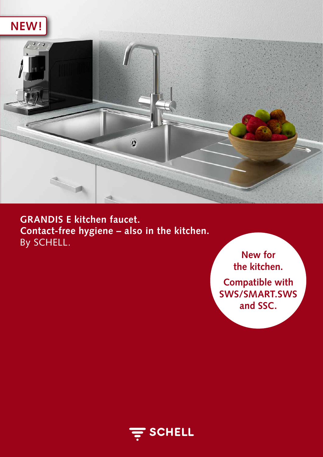



**GRANDIS E kitchen faucet. Contact-free hygiene – also in the kitchen.**  By SCHELL.

**New for the kitchen. Compatible with SWS/SMART.SWS and SSC.** 

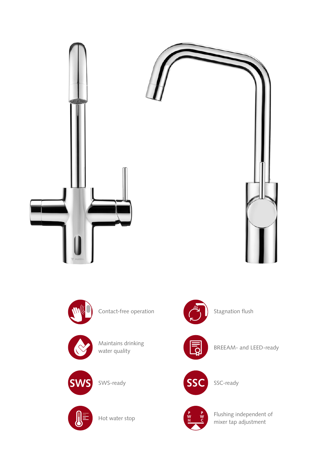



Contact-free operation



Maintains drinking water quality



SWS-ready



Hot water stop



Stagnation flush

BREEAM- and LEED-ready



SSC-ready



Flushing independent of mixer tap adjustment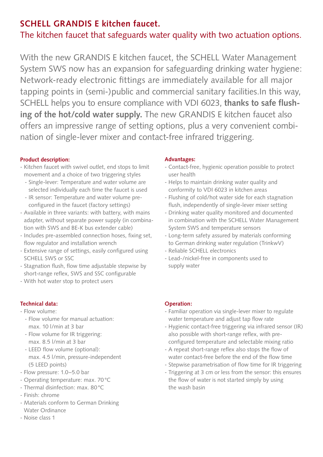## **SCHELL GRANDIS E kitchen faucet.**

# The kitchen faucet that safeguards water quality with two actuation options.

With the new GRANDIS E kitchen faucet, the SCHELL Water Management System SWS now has an expansion for safeguarding drinking water hygiene: Network-ready electronic fittings are immediately available for all major tapping points in (semi-)public and commercial sanitary facilities.In this way, SCHELL helps you to ensure compliance with VDI 6023, **thanks to safe flushing of the hot/cold water supply.** The new GRANDIS E kitchen faucet also offers an impressive range of setting options, plus a very convenient combination of single-lever mixer and contact-free infrared triggering.

## **Product description:**

- Kitchen faucet with swivel outlet, end stops to limit movement and a choice of two triggering styles
	- Single-lever: Temperature and water volume are selected individually each time the faucet is used
	- IR sensor: Temperature and water volume preconfigured in the faucet (factory settings)
- Available in three variants: with battery, with mains adapter, without separate power supply (in combination with SWS and BE-K bus extender cable)
- Includes pre-assembled connection hoses, fixing set, flow regulator and installation wrench
- Extensive range of settings, easily configured using SCHELL SWS or SSC
- Stagnation flush, flow time adjustable stepwise by short-range reflex, SWS and SSC configurable
- With hot water stop to protect users

## **Technical data:**

## - Flow volume:

- Flow volume for manual actuation: max. 10 l/min at 3 bar
- Flow volume for IR triggering: max. 8.5 l/min at 3 bar
- LEED flow volume (optional): max. 4.5 l/min, pressure-independent (5 LEED points)
- Flow pressure: 1.0–5.0 bar
- Operating temperature: max. 70°C
- Thermal disinfection: max. 80°C
- Finish: chrome
- Materials conform to German Drinking Water Ordinance
- Noise class 1

## **Advantages:**

- Contact-free, hygienic operation possible to protect user health
- Helps to maintain drinking water quality and conformity to VDI 6023 in kitchen areas
- Flushing of cold/hot water side for each stagnation flush, independently of single-lever mixer setting
- Drinking water quality monitored and documented in combination with the SCHELL Water Management System SWS and temperature sensors
- Long-term safety assured by materials conforming to German drinking water regulation (TrinkwV)
- Reliable SCHELL electronics
- Lead-/nickel-free in components used to supply water

## **Operation:**

- Familiar operation via single-lever mixer to regulate water temperature and adjust tap flow rate
- Hygienic contact-free triggering via infrared sensor (IR) also possible with short-range reflex, with preconfigured temperature and selectable mixing ratio
- A repeat short-range reflex also stops the flow of water contact-free before the end of the flow time
- Stepwise parametrisation of flow time for IR triggering
- Triggering at 3 cm or less from the sensor: this ensures the flow of water is not started simply by using the wash basin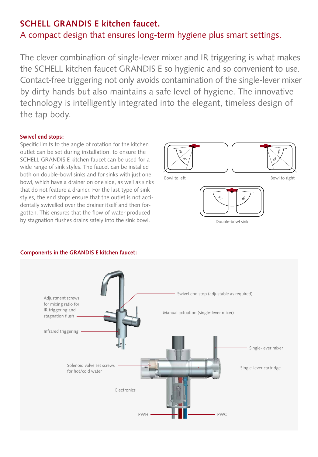## **SCHELL GRANDIS E kitchen faucet.**

## A compact design that ensures long-term hygiene plus smart settings.

The clever combination of single-lever mixer and IR triggering is what makes the SCHELL kitchen faucet GRANDIS E so hygienic and so convenient to use. Contact-free triggering not only avoids contamination of the single-lever mixer by dirty hands but also maintains a safe level of hygiene. The innovative technology is intelligently integrated into the elegant, timeless design of the tap body.

#### **Swivel end stops:**

Specific limits to the angle of rotation for the kitchen outlet can be set during installation, to ensure the SCHELL GRANDIS E kitchen faucet can be used for a wide range of sink styles. The faucet can be installed both on double-bowl sinks and for sinks with just one bowl, which have a drainer on one side, as well as sinks that do not feature a drainer. For the last type of sink styles, the end stops ensure that the outlet is not accidentally swivelled over the drainer itself and then forgotten. This ensures that the flow of water produced by stagnation flushes drains safely into the sink bowl.







## **Components in the GRANDIS E kitchen faucet:**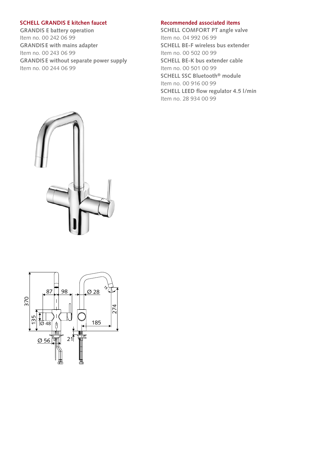#### **SCHELL GRANDIS E kitchen faucet**

**GRANDIS E battery operation**  Item no. 00 242 06 99 **GRANDIS E with mains adapter**  Item no. 00 243 06 99 **GRANDIS E without separate power supply**  Item no. 00 244 06 99

#### **Recommended associated items**

**SCHELL COMFORT PT angle valve** Item no. 04 992 06 99 **SCHELL BE-F wireless bus extender** Item no. 00 502 00 99 **SCHELL BE-K bus extender cable** Item no. 00 501 00 99 **SCHELL SSC Bluetooth® module** Item no. 00 916 00 99 **SCHELL LEED flow regulator 4.5 l/min** Item no. 28 934 00 99